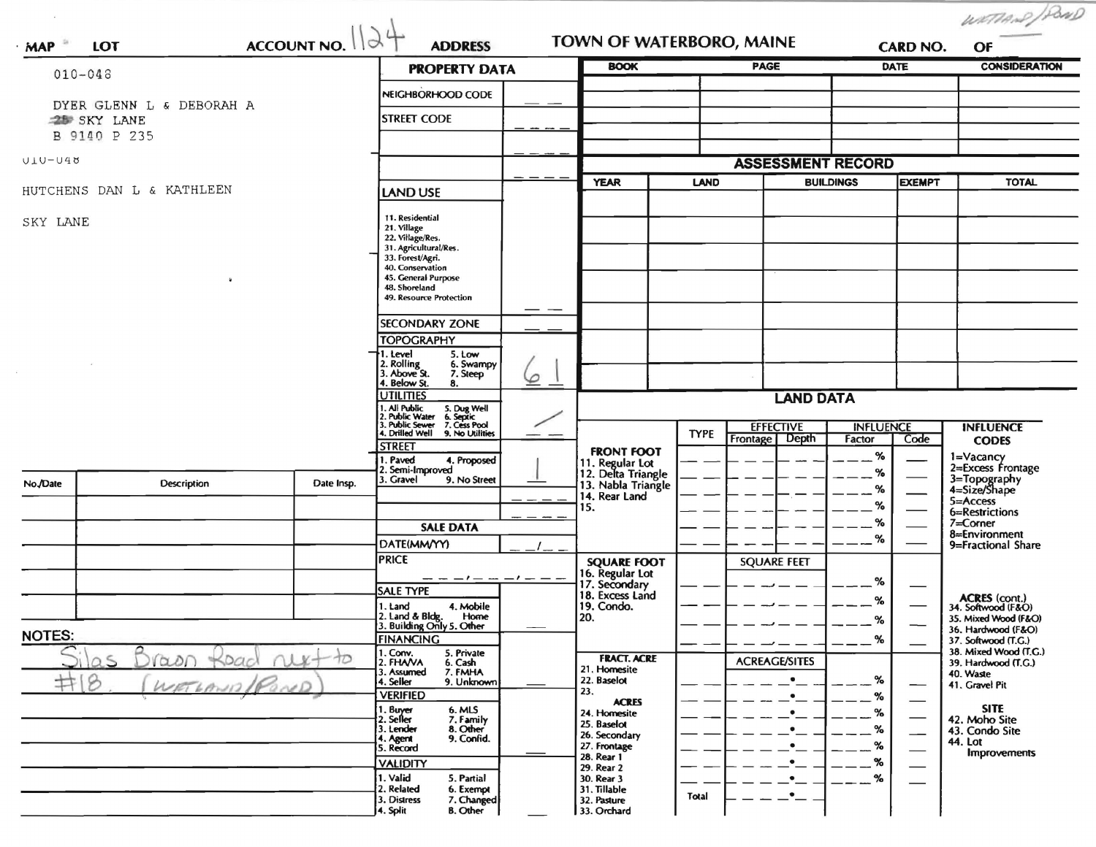|                                                                        |                           |                                                                                                                                                                                  |                                                               |                            |                                          |                                      |                        |                     |                          | WATTAND /POND                                |
|------------------------------------------------------------------------|---------------------------|----------------------------------------------------------------------------------------------------------------------------------------------------------------------------------|---------------------------------------------------------------|----------------------------|------------------------------------------|--------------------------------------|------------------------|---------------------|--------------------------|----------------------------------------------|
| ACCOUNT NO.<br><b>LOT</b><br>MAP                                       |                           |                                                                                                                                                                                  | <b>ADDRESS</b>                                                | TOWN OF WATERBORO, MAINE   |                                          |                                      | <b>CARD NO.</b>        |                     | OF                       |                                              |
| $010 - 048$                                                            |                           |                                                                                                                                                                                  |                                                               | <b>PROPERTY DATA</b>       |                                          | <b>BOOK</b>                          |                        | <b>PAGE</b><br>DATE |                          | <b>CONSIDERATION</b>                         |
|                                                                        |                           | NEIGHBORHOOD CODE                                                                                                                                                                |                                                               |                            |                                          |                                      |                        |                     |                          |                                              |
| DYER GLENN L & DEBORAH A<br><b>25 SKY LANE</b>                         |                           |                                                                                                                                                                                  | <b>STREET CODE</b>                                            |                            |                                          |                                      |                        |                     |                          |                                              |
|                                                                        | B 9140 P 235              |                                                                                                                                                                                  |                                                               |                            |                                          |                                      |                        |                     |                          |                                              |
| $ULU-U40$                                                              |                           |                                                                                                                                                                                  |                                                               |                            |                                          | <b>ASSESSMENT RECORD</b>             |                        |                     |                          |                                              |
|                                                                        |                           |                                                                                                                                                                                  |                                                               | <b>YEAR</b>                |                                          | <b>LAND</b><br><b>BUILDINGS</b>      |                        | <b>EXEMPT</b>       | <b>TOTAL</b>             |                                              |
|                                                                        | HUTCHENS DAN L & KATHLEEN | LAND USE                                                                                                                                                                         |                                                               |                            |                                          |                                      |                        |                     |                          |                                              |
| SKY LANE                                                               |                           | 11. Residential<br>21. Village                                                                                                                                                   |                                                               |                            |                                          |                                      |                        |                     |                          |                                              |
|                                                                        |                           |                                                                                                                                                                                  |                                                               |                            |                                          |                                      |                        |                     |                          |                                              |
|                                                                        |                           |                                                                                                                                                                                  | 31. Agricultural/Res.<br>33. Forest/Agri.                     |                            |                                          |                                      |                        |                     |                          |                                              |
|                                                                        |                           |                                                                                                                                                                                  | 40. Conservation<br>45. General Purpose                       |                            |                                          |                                      |                        |                     |                          |                                              |
|                                                                        |                           |                                                                                                                                                                                  | 48. Shoreland<br>49. Resource Protection                      |                            |                                          |                                      |                        |                     |                          |                                              |
|                                                                        |                           |                                                                                                                                                                                  | <b>SECONDARY ZONE</b>                                         |                            |                                          |                                      |                        |                     |                          |                                              |
|                                                                        |                           |                                                                                                                                                                                  | <b>TOPOGRAPHY</b>                                             |                            |                                          |                                      |                        |                     |                          |                                              |
|                                                                        |                           |                                                                                                                                                                                  | 1. Level<br>5. Low<br>2. Rolling<br>3. Above St.<br>6. Swampy |                            |                                          |                                      |                        |                     |                          |                                              |
|                                                                        |                           |                                                                                                                                                                                  | 7. Steep<br>4. Below St.<br>8.                                | $\varphi$                  |                                          |                                      |                        |                     |                          |                                              |
|                                                                        |                           |                                                                                                                                                                                  | <b>UTILITIES</b>                                              |                            | <b>LAND DATA</b>                         |                                      |                        |                     |                          |                                              |
|                                                                        |                           | 1. All Public<br>2. Public Water<br>3. Public Sewer<br>1. All Public 5. Dug Well<br>2. Public Water 6. Septic<br>3. Public Sewer 7. Cess Pool<br>4. Drilled Well 9. No Utilities |                                                               |                            |                                          | <b>EFFECTIVE</b><br><b>INFLUENCE</b> |                        |                     | <b>INFLUENCE</b>         |                                              |
|                                                                        |                           |                                                                                                                                                                                  | <b>STREET</b>                                                 |                            |                                          | <b>TYPE</b>                          | Frontage   Depth       | Factor              | Code                     | <b>CODES</b>                                 |
|                                                                        |                           |                                                                                                                                                                                  | 1. Paved<br>4. Proposed<br>2. Semi-Improved                   |                            | <b>FRONT FOOT</b><br>11. Regular Lot     |                                      |                        | %                   |                          | 1=Vacancy<br>2=Excess Frontage               |
| No./Date                                                               | <b>Description</b>        | Date Insp.                                                                                                                                                                       | 3. Gravel<br>9. No Street                                     |                            | 12. Delta Triangle<br>13. Nabla Triangle |                                      |                        | %<br>%              |                          | 3=Topography<br>4=Size/Shape                 |
|                                                                        |                           |                                                                                                                                                                                  |                                                               |                            | 14. Rear Land<br>15.                     |                                      |                        | $\%$                |                          | 5=Access<br>6=Restrictions                   |
|                                                                        |                           |                                                                                                                                                                                  | <b>SALE DATA</b>                                              |                            |                                          |                                      |                        | %                   |                          | 7=Corner                                     |
|                                                                        |                           |                                                                                                                                                                                  | DATE(MM/YY)                                                   |                            |                                          |                                      |                        | %                   |                          | 8=Environment<br>9=Fractional Share          |
|                                                                        |                           |                                                                                                                                                                                  | <b>PRICE</b>                                                  |                            | <b>SQUARE FOOT</b>                       |                                      | <b>SQUARE FEET</b>     |                     |                          |                                              |
|                                                                        |                           |                                                                                                                                                                                  | — — — ! — — — ! — — —<br><b>SALE TYPE</b>                     |                            | 16. Regular Lot<br>17. Secondary         |                                      |                        | %                   |                          |                                              |
|                                                                        |                           |                                                                                                                                                                                  | 4. Mobile<br>1. Land                                          |                            | 18. Excess Land<br>19. Condo.            |                                      |                        | ℅                   |                          | ACRES (cont.)<br>34. Softwood (F&O)          |
|                                                                        |                           |                                                                                                                                                                                  | 2. Land & Bldg.<br>Home<br>3. Building Only 5. Other          | $\overline{\phantom{a}}$   | 120.                                     |                                      |                        | $\alpha$            |                          | 35. Mixed Wood (F&O)<br>36. Hardwood (F&O)   |
| <b>NOTES:</b><br>10<br>$\cup$<br>$\alpha$ on<br>S<br>♯<br>8<br>NETLAND |                           |                                                                                                                                                                                  | <b>FINANCING</b><br>I. Conv.<br>5. Private                    |                            |                                          |                                      |                        | %                   |                          | 37. Softwood (T.G.)<br>38. Mixed Wood (T.G.) |
|                                                                        |                           |                                                                                                                                                                                  | 2. FHAVA<br>6. Cash<br>7. FMHA<br>3. Assumed                  |                            | <b>FRACT. ACRE</b><br>21. Homesite       |                                      | <b>ACREAGE/SITES</b>   |                     |                          | 39. Hardwood (T.G.)<br>40. Waste             |
|                                                                        |                           |                                                                                                                                                                                  | 4. Seller<br>9. Unknown<br><b>VERIFIED</b>                    |                            | 22. Baselot<br>23.                       |                                      | $\bullet$<br>$\bullet$ | %<br>$\%$           | —                        | 41. Gravel Pit                               |
|                                                                        |                           |                                                                                                                                                                                  | 1. Buyer<br>2. Seller<br>6. MLS                               |                            | <b>ACRES</b><br>24. Homesite             |                                      |                        | %                   | $\overline{\phantom{0}}$ | <b>SITE</b>                                  |
|                                                                        |                           |                                                                                                                                                                                  | 7. Family<br>8. Other<br>3. Lender                            |                            | 25. Baselot<br>26. Secondary             |                                      |                        | %                   |                          | 42. Moho Site<br>43. Condo Site              |
|                                                                        |                           |                                                                                                                                                                                  | 9. Confid.<br>4. Agent<br>5. Record                           |                            | 27. Frontage<br>28. Rear 1               |                                      | $\bullet$              | %                   |                          | 44. Lot<br><b>Improvements</b>               |
|                                                                        |                           |                                                                                                                                                                                  | <b>VALIDITY</b><br>1. Valid                                   |                            | 29. Rear 2                               |                                      | $\bullet$              | %                   |                          |                                              |
|                                                                        |                           |                                                                                                                                                                                  | 5. Partial<br>2. Related<br>6. Exempt                         |                            | 30. Rear 3<br>31. Tillable               | Total                                | $\bullet$              | %                   |                          |                                              |
|                                                                        |                           | 7. Changed<br>3. Distress<br><b>B.</b> Other<br>4. Split                                                                                                                         |                                                               | 32. Pasture<br>33. Orchard |                                          |                                      |                        |                     |                          |                                              |